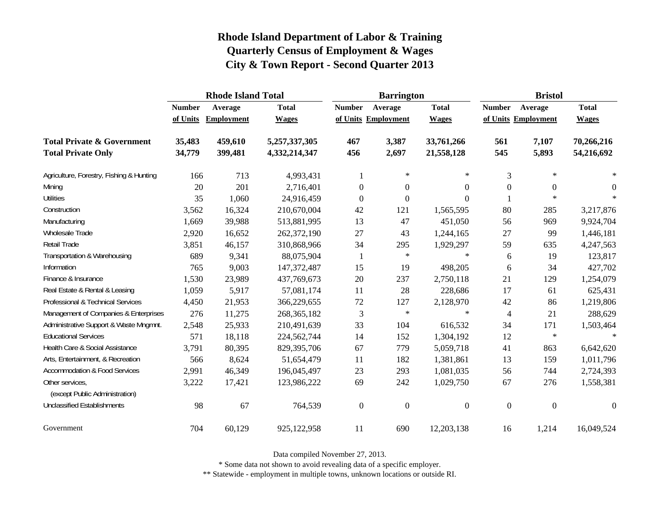|                                                   |               | <b>Rhode Island Total</b> |               |                  | <b>Barrington</b>   |                | <b>Bristol</b> |                     |                  |  |
|---------------------------------------------------|---------------|---------------------------|---------------|------------------|---------------------|----------------|----------------|---------------------|------------------|--|
|                                                   | <b>Number</b> | Average                   | <b>Total</b>  | <b>Number</b>    | Average             | <b>Total</b>   | <b>Number</b>  | Average             | <b>Total</b>     |  |
|                                                   | of Units      | Employment                | <b>Wages</b>  |                  | of Units Employment | <b>Wages</b>   |                | of Units Employment | <b>Wages</b>     |  |
| <b>Total Private &amp; Government</b>             | 35,483        | 459,610                   | 5,257,337,305 | 467              | 3,387               | 33,761,266     | 561            | 7,107               | 70,266,216       |  |
| <b>Total Private Only</b>                         | 34,779        | 399,481                   | 4,332,214,347 | 456              | 2,697               | 21,558,128     | 545            | 5,893               | 54,216,692       |  |
| Agriculture, Forestry, Fishing & Hunting          | 166           | 713                       | 4,993,431     |                  | $\ast$              | $\ast$         | 3              | $\ast$              |                  |  |
| Mining                                            | 20            | 201                       | 2,716,401     | $\boldsymbol{0}$ | $\overline{0}$      | 0              | $\overline{0}$ | $\theta$            | $\theta$         |  |
| <b>Utilities</b>                                  | 35            | 1,060                     | 24,916,459    | $\mathbf{0}$     | $\boldsymbol{0}$    | 0              |                | $\ast$              | $\star$          |  |
| Construction                                      | 3,562         | 16,324                    | 210,670,004   | 42               | 121                 | 1,565,595      | 80             | 285                 | 3,217,876        |  |
| Manufacturing                                     | 1,669         | 39,988                    | 513,881,995   | 13               | 47                  | 451,050        | 56             | 969                 | 9,924,704        |  |
| Wholesale Trade                                   | 2,920         | 16,652                    | 262,372,190   | 27               | 43                  | 1,244,165      | 27             | 99                  | 1,446,181        |  |
| Retail Trade                                      | 3,851         | 46,157                    | 310,868,966   | 34               | 295                 | 1,929,297      | 59             | 635                 | 4,247,563        |  |
| Transportation & Warehousing                      | 689           | 9,341                     | 88,075,904    | 1                | $\star$             | $\star$        | 6              | 19                  | 123,817          |  |
| Information                                       | 765           | 9,003                     | 147, 372, 487 | 15               | 19                  | 498,205        | 6              | 34                  | 427,702          |  |
| Finance & Insurance                               | 1,530         | 23,989                    | 437,769,673   | 20               | 237                 | 2,750,118      | 21             | 129                 | 1,254,079        |  |
| Real Estate & Rental & Leasing                    | 1,059         | 5,917                     | 57,081,174    | 11               | 28                  | 228,686        | 17             | 61                  | 625,431          |  |
| Professional & Technical Services                 | 4,450         | 21,953                    | 366,229,655   | $72\,$           | 127                 | 2,128,970      | 42             | 86                  | 1,219,806        |  |
| Management of Companies & Enterprises             | 276           | 11,275                    | 268, 365, 182 | 3                | $\ast$              | $\star$        | $\overline{4}$ | 21                  | 288,629          |  |
| Administrative Support & Waste Mngmnt.            | 2,548         | 25,933                    | 210,491,639   | 33               | 104                 | 616,532        | 34             | 171                 | 1,503,464        |  |
| <b>Educational Services</b>                       | 571           | 18,118                    | 224,562,744   | 14               | 152                 | 1,304,192      | 12             | $\ast$              | sk.              |  |
| Health Care & Social Assistance                   | 3,791         | 80,395                    | 829,395,706   | 67               | 779                 | 5,059,718      | 41             | 863                 | 6,642,620        |  |
| Arts, Entertainment, & Recreation                 | 566           | 8,624                     | 51,654,479    | 11               | 182                 | 1,381,861      | 13             | 159                 | 1,011,796        |  |
| <b>Accommodation &amp; Food Services</b>          | 2,991         | 46,349                    | 196,045,497   | 23               | 293                 | 1,081,035      | 56             | 744                 | 2,724,393        |  |
| Other services,<br>(except Public Administration) | 3,222         | 17,421                    | 123,986,222   | 69               | 242                 | 1,029,750      | 67             | 276                 | 1,558,381        |  |
| <b>Unclassified Establishments</b>                | 98            | 67                        | 764,539       | $\boldsymbol{0}$ | $\boldsymbol{0}$    | $\overline{0}$ | $\mathbf{0}$   | $\mathbf{0}$        | $\boldsymbol{0}$ |  |
| Government                                        | 704           | 60,129                    | 925,122,958   | 11               | 690                 | 12,203,138     | 16             | 1,214               | 16,049,524       |  |

Data compiled November 27, 2013.

\* Some data not shown to avoid revealing data of a specific employer.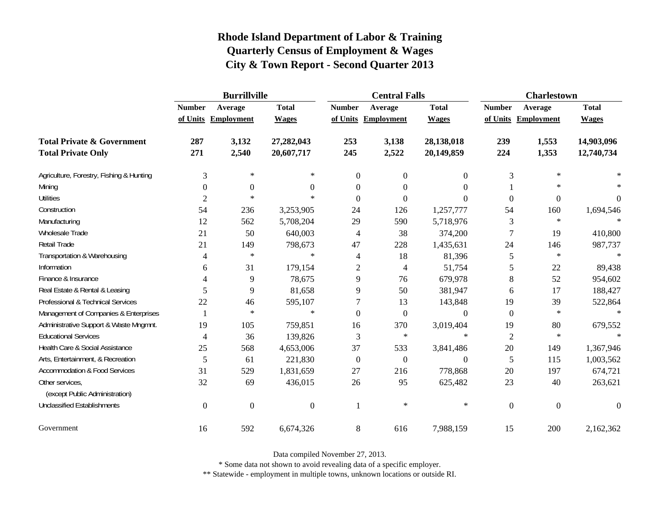|                                                   | <b>Burrillville</b> |                     |                |                  | <b>Central Falls</b> |                  | <b>Charlestown</b> |                     |                |
|---------------------------------------------------|---------------------|---------------------|----------------|------------------|----------------------|------------------|--------------------|---------------------|----------------|
|                                                   | <b>Number</b>       | Average             | <b>Total</b>   | <b>Number</b>    | Average              | <b>Total</b>     | <b>Number</b>      | Average             | <b>Total</b>   |
|                                                   |                     | of Units Employment | <b>Wages</b>   |                  | of Units Employment  | <b>Wages</b>     |                    | of Units Employment | <b>Wages</b>   |
| <b>Total Private &amp; Government</b>             | 287                 | 3,132               | 27,282,043     | 253              | 3,138                | 28,138,018       | 239                | 1,553               | 14,903,096     |
| <b>Total Private Only</b>                         | 271                 | 2,540               | 20,607,717     | 245              | 2,522                | 20,149,859       | 224                | 1,353               | 12,740,734     |
| Agriculture, Forestry, Fishing & Hunting          | 3                   | $\ast$              | $\ast$         | $\overline{0}$   | $\overline{0}$       | $\overline{0}$   | 3                  | $\ast$              |                |
| Mining                                            | $\theta$            | $\boldsymbol{0}$    | $\Omega$       | $\Omega$         | $\Omega$             | $\Omega$         |                    | $\ast$              |                |
| <b>Utilities</b>                                  | $\overline{c}$      | $\ast$              | $\ast$         | $\Omega$         | $\Omega$             | $\Omega$         | $\boldsymbol{0}$   | $\boldsymbol{0}$    | $\overline{0}$ |
| Construction                                      | 54                  | 236                 | 3,253,905      | 24               | 126                  | 1,257,777        | 54                 | 160                 | 1,694,546      |
| Manufacturing                                     | 12                  | 562                 | 5,708,204      | 29               | 590                  | 5,718,976        | 3                  | $\ast$              |                |
| Wholesale Trade                                   | 21                  | 50                  | 640,003        | 4                | 38                   | 374,200          | 7                  | 19                  | 410,800        |
| Retail Trade                                      | 21                  | 149                 | 798,673        | 47               | 228                  | 1,435,631        | 24                 | 146                 | 987,737        |
| Transportation & Warehousing                      | 4                   | $\ast$              | $\ast$         | 4                | 18                   | 81,396           | 5                  | $\ast$              | $\ast$         |
| Information                                       | 6                   | 31                  | 179,154        | 2                | 4                    | 51,754           | 5                  | 22                  | 89,438         |
| Finance & Insurance                               | 4                   | 9                   | 78,675         | 9                | 76                   | 679,978          | 8                  | 52                  | 954,602        |
| Real Estate & Rental & Leasing                    | 5                   | 9                   | 81,658         | 9                | 50                   | 381,947          | 6                  | 17                  | 188,427        |
| Professional & Technical Services                 | 22                  | 46                  | 595,107        | 7                | 13                   | 143,848          | 19                 | 39                  | 522,864        |
| Management of Companies & Enterprises             | $\mathbf{1}$        | $\ast$              | $\ast$         | $\Omega$         | $\overline{0}$       | $\theta$         | $\mathbf{0}$       | $\ast$              | $\ast$         |
| Administrative Support & Waste Mngmnt.            | 19                  | 105                 | 759,851        | 16               | 370                  | 3,019,404        | 19                 | 80                  | 679,552        |
| <b>Educational Services</b>                       | 4                   | 36                  | 139,826        | 3                | $\ast$               | $\ast$           | $\overline{2}$     | $\ast$              |                |
| Health Care & Social Assistance                   | 25                  | 568                 | 4,653,006      | 37               | 533                  | 3,841,486        | $20\,$             | 149                 | 1,367,946      |
| Arts, Entertainment, & Recreation                 | 5                   | 61                  | 221,830        | $\boldsymbol{0}$ | $\boldsymbol{0}$     | $\boldsymbol{0}$ | 5                  | 115                 | 1,003,562      |
| <b>Accommodation &amp; Food Services</b>          | 31                  | 529                 | 1,831,659      | 27               | 216                  | 778,868          | 20                 | 197                 | 674,721        |
| Other services,<br>(except Public Administration) | 32                  | 69                  | 436,015        | 26               | 95                   | 625,482          | 23                 | 40                  | 263,621        |
| <b>Unclassified Establishments</b>                | $\boldsymbol{0}$    | $\boldsymbol{0}$    | $\overline{0}$ | 1                | $\ast$               | $\ast$           | $\boldsymbol{0}$   | $\boldsymbol{0}$    | $\Omega$       |
| Government                                        | 16                  | 592                 | 6,674,326      | 8                | 616                  | 7,988,159        | 15                 | 200                 | 2,162,362      |

Data compiled November 27, 2013.

\* Some data not shown to avoid revealing data of a specific employer.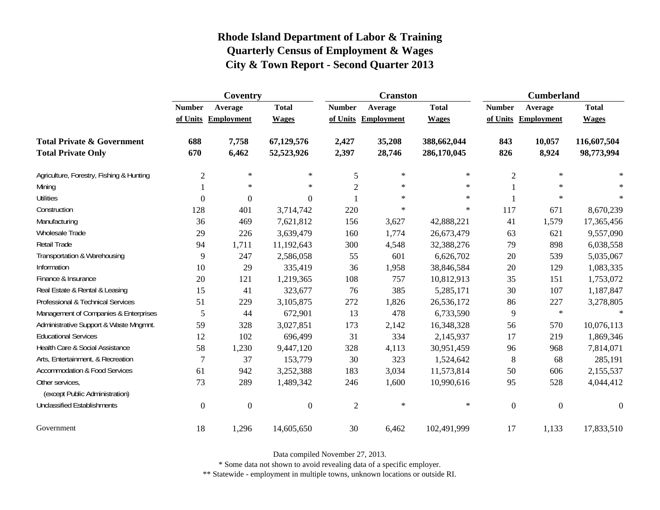|                                                   | Coventry         |                     |                |                | <b>Cranston</b>     |              | <b>Cumberland</b> |                     |                  |
|---------------------------------------------------|------------------|---------------------|----------------|----------------|---------------------|--------------|-------------------|---------------------|------------------|
|                                                   | <b>Number</b>    | Average             | <b>Total</b>   | <b>Number</b>  | Average             | <b>Total</b> | <b>Number</b>     | Average             | <b>Total</b>     |
|                                                   |                  | of Units Employment | <b>Wages</b>   |                | of Units Employment | <b>Wages</b> |                   | of Units Employment | <b>Wages</b>     |
| <b>Total Private &amp; Government</b>             | 688              | 7,758               | 67,129,576     | 2,427          | 35,208              | 388,662,044  | 843               | 10,057              | 116,607,504      |
| <b>Total Private Only</b>                         | 670              | 6,462               | 52,523,926     | 2,397          | 28,746              | 286,170,045  | 826               | 8,924               | 98,773,994       |
| Agriculture, Forestry, Fishing & Hunting          | $\overline{2}$   | $\ast$              | $\ast$         | 5              | $\ast$              | $\ast$       | $\overline{2}$    | $\ast$              |                  |
| Mining                                            |                  | $\ast$              | $\ast$         | $\sqrt{2}$     | $\ast$              | $\ast$       |                   | $\ast$              | $\ast$           |
| <b>Utilities</b>                                  | $\mathbf{0}$     | $\boldsymbol{0}$    | $\overline{0}$ |                | $\ast$              | $\ast$       |                   | $\ast$              | $\ast$           |
| Construction                                      | 128              | 401                 | 3,714,742      | 220            | $\ast$              | $\ast$       | 117               | 671                 | 8,670,239        |
| Manufacturing                                     | 36               | 469                 | 7,621,812      | 156            | 3,627               | 42,888,221   | 41                | 1,579               | 17,365,456       |
| Wholesale Trade                                   | 29               | 226                 | 3,639,479      | 160            | 1,774               | 26,673,479   | 63                | 621                 | 9,557,090        |
| Retail Trade                                      | 94               | 1,711               | 11,192,643     | 300            | 4,548               | 32,388,276   | 79                | 898                 | 6,038,558        |
| Transportation & Warehousing                      | 9                | 247                 | 2,586,058      | 55             | 601                 | 6,626,702    | $20\,$            | 539                 | 5,035,067        |
| Information                                       | 10               | 29                  | 335,419        | 36             | 1,958               | 38,846,584   | 20                | 129                 | 1,083,335        |
| Finance & Insurance                               | 20               | 121                 | 1,219,365      | 108            | 757                 | 10,812,913   | 35                | 151                 | 1,753,072        |
| Real Estate & Rental & Leasing                    | 15               | 41                  | 323,677        | 76             | 385                 | 5,285,171    | 30                | 107                 | 1,187,847        |
| Professional & Technical Services                 | 51               | 229                 | 3,105,875      | 272            | 1,826               | 26,536,172   | 86                | 227                 | 3,278,805        |
| Management of Companies & Enterprises             | 5                | 44                  | 672,901        | 13             | 478                 | 6,733,590    | 9                 | $\ast$              | $\star$          |
| Administrative Support & Waste Mngmnt.            | 59               | 328                 | 3,027,851      | 173            | 2,142               | 16,348,328   | 56                | 570                 | 10,076,113       |
| <b>Educational Services</b>                       | 12               | 102                 | 696,499        | 31             | 334                 | 2,145,937    | 17                | 219                 | 1,869,346        |
| Health Care & Social Assistance                   | 58               | 1,230               | 9,447,120      | 328            | 4,113               | 30,951,459   | 96                | 968                 | 7,814,071        |
| Arts, Entertainment, & Recreation                 | 7                | 37                  | 153,779        | 30             | 323                 | 1,524,642    | 8                 | 68                  | 285,191          |
| <b>Accommodation &amp; Food Services</b>          | 61               | 942                 | 3,252,388      | 183            | 3,034               | 11,573,814   | 50                | 606                 | 2,155,537        |
| Other services,<br>(except Public Administration) | 73               | 289                 | 1,489,342      | 246            | 1,600               | 10,990,616   | 95                | 528                 | 4,044,412        |
| <b>Unclassified Establishments</b>                | $\boldsymbol{0}$ | $\boldsymbol{0}$    | $\overline{0}$ | $\mathfrak{2}$ | $\ast$              | $\ast$       | $\boldsymbol{0}$  | $\boldsymbol{0}$    | $\boldsymbol{0}$ |
| Government                                        | 18               | 1,296               | 14,605,650     | 30             | 6,462               | 102,491,999  | 17                | 1,133               | 17,833,510       |

Data compiled November 27, 2013.

\* Some data not shown to avoid revealing data of a specific employer.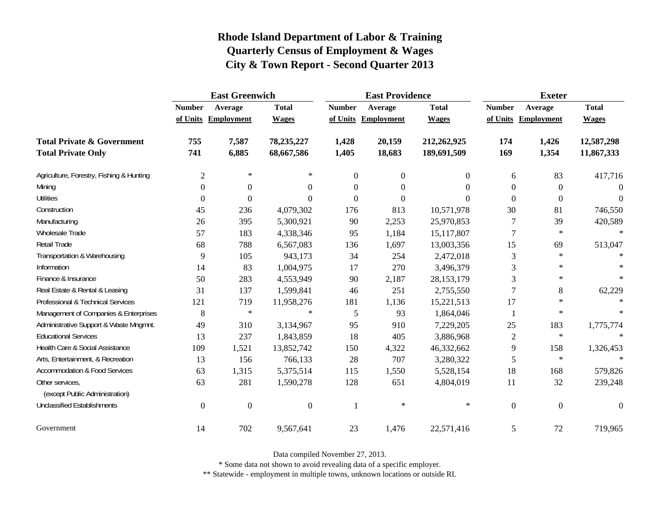|                                                   | <b>East Greenwich</b> |                     |                |                  | <b>East Providence</b> |                | <b>Exeter</b>  |                     |                  |
|---------------------------------------------------|-----------------------|---------------------|----------------|------------------|------------------------|----------------|----------------|---------------------|------------------|
|                                                   | <b>Number</b>         | Average             | <b>Total</b>   | <b>Number</b>    | Average                | <b>Total</b>   | <b>Number</b>  | Average             | <b>Total</b>     |
|                                                   |                       | of Units Employment | <b>Wages</b>   |                  | of Units Employment    | <b>Wages</b>   |                | of Units Employment | <b>Wages</b>     |
| <b>Total Private &amp; Government</b>             | 755                   | 7,587               | 78,235,227     | 1,428            | 20,159                 | 212,262,925    | 174            | 1,426               | 12,587,298       |
| <b>Total Private Only</b>                         | 741                   | 6,885               | 68,667,586     | 1,405            | 18,683                 | 189,691,509    | 169            | 1,354               | 11,867,333       |
| Agriculture, Forestry, Fishing & Hunting          | $\mathfrak{2}$        | $\ast$              | $\ast$         | $\overline{0}$   | $\overline{0}$         | $\overline{0}$ | 6              | 83                  | 417,716          |
| Mining                                            | $\Omega$              | $\boldsymbol{0}$    | $\Omega$       | $\boldsymbol{0}$ | $\theta$               | $\Omega$       | $\Omega$       | $\mathbf{0}$        | $\Omega$         |
| <b>Utilities</b>                                  | $\overline{0}$        | $\boldsymbol{0}$    | 0              | $\boldsymbol{0}$ | $\overline{0}$         | $\Omega$       | $\theta$       | $\boldsymbol{0}$    | $\mathbf{0}$     |
| Construction                                      | 45                    | 236                 | 4,079,302      | 176              | 813                    | 10,571,978     | 30             | 81                  | 746,550          |
| Manufacturing                                     | 26                    | 395                 | 5,300,921      | 90               | 2,253                  | 25,970,853     | 7              | 39                  | 420,589          |
| Wholesale Trade                                   | 57                    | 183                 | 4,338,346      | 95               | 1,184                  | 15,117,807     | $\tau$         | $\ast$              | $\ast$           |
| Retail Trade                                      | 68                    | 788                 | 6,567,083      | 136              | 1,697                  | 13,003,356     | 15             | 69                  | 513,047          |
| Transportation & Warehousing                      | 9                     | 105                 | 943,173        | 34               | 254                    | 2,472,018      | $\mathfrak{Z}$ | $\ast$              | $\ast$           |
| Information                                       | 14                    | 83                  | 1,004,975      | 17               | 270                    | 3,496,379      | 3              | $\ast$              |                  |
| Finance & Insurance                               | 50                    | 283                 | 4,553,949      | 90               | 2,187                  | 28, 153, 179   | 3              | $\ast$              | $\ast$           |
| Real Estate & Rental & Leasing                    | 31                    | 137                 | 1,599,841      | 46               | 251                    | 2,755,550      | 7              | $\,8\,$             | 62,229           |
| Professional & Technical Services                 | 121                   | 719                 | 11,958,276     | 181              | 1,136                  | 15,221,513     | 17             | $\ast$              |                  |
| Management of Companies & Enterprises             | 8                     | $\ast$              | $\ast$         | 5                | 93                     | 1,864,046      | 1              | $\ast$              | $\ast$           |
| Administrative Support & Waste Mngmnt.            | 49                    | 310                 | 3,134,967      | 95               | 910                    | 7,229,205      | 25             | 183                 | 1,775,774        |
| <b>Educational Services</b>                       | 13                    | 237                 | 1,843,859      | 18               | 405                    | 3,886,968      | $\overline{c}$ | $\ast$              |                  |
| Health Care & Social Assistance                   | 109                   | 1,521               | 13,852,742     | 150              | 4,322                  | 46,332,662     | 9              | 158                 | 1,326,453        |
| Arts, Entertainment, & Recreation                 | 13                    | 156                 | 766,133        | 28               | 707                    | 3,280,322      | 5              | $\ast$              | $\star$          |
| <b>Accommodation &amp; Food Services</b>          | 63                    | 1,315               | 5,375,514      | 115              | 1,550                  | 5,528,154      | 18             | 168                 | 579,826          |
| Other services,<br>(except Public Administration) | 63                    | 281                 | 1,590,278      | 128              | 651                    | 4,804,019      | 11             | 32                  | 239,248          |
| <b>Unclassified Establishments</b>                | $\boldsymbol{0}$      | $\boldsymbol{0}$    | $\overline{0}$ | $\mathbf{1}$     | $\ast$                 | $\ast$         | $\mathbf{0}$   | $\boldsymbol{0}$    | $\boldsymbol{0}$ |
| Government                                        | 14                    | 702                 | 9,567,641      | 23               | 1,476                  | 22,571,416     | 5              | 72                  | 719,965          |

Data compiled November 27, 2013.

\* Some data not shown to avoid revealing data of a specific employer.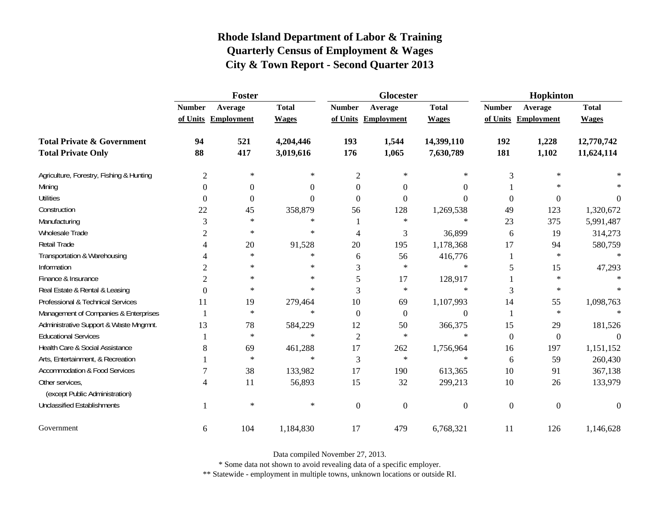|                                                   | Foster         |                     |              |                | <b>Glocester</b>    |                  | Hopkinton        |                     |              |
|---------------------------------------------------|----------------|---------------------|--------------|----------------|---------------------|------------------|------------------|---------------------|--------------|
|                                                   | <b>Number</b>  | Average             | <b>Total</b> | <b>Number</b>  | Average             | <b>Total</b>     | <b>Number</b>    | Average             | <b>Total</b> |
|                                                   |                | of Units Employment | <b>Wages</b> |                | of Units Employment | <b>Wages</b>     |                  | of Units Employment | <b>Wages</b> |
| <b>Total Private &amp; Government</b>             | 94             | 521                 | 4,204,446    | 193            | 1,544               | 14,399,110       | 192              | 1,228               | 12,770,742   |
| <b>Total Private Only</b>                         | 88             | 417                 | 3,019,616    | 176            | 1,065               | 7,630,789        | 181              | 1,102               | 11,624,114   |
| Agriculture, Forestry, Fishing & Hunting          | $\mathfrak{2}$ | $\ast$              | $\ast$       | $\overline{c}$ | $\ast$              | ∗                | 3                | $\ast$              |              |
| Mining                                            | $\Omega$       | $\boldsymbol{0}$    | $\theta$     | $\Omega$       | $\Omega$            | $\Omega$         |                  |                     |              |
| <b>Utilities</b>                                  | $\Omega$       | $\boldsymbol{0}$    | $\theta$     | $\Omega$       | $\Omega$            | $\theta$         | $\overline{0}$   | $\theta$            | 0            |
| Construction                                      | 22             | 45                  | 358,879      | 56             | 128                 | 1,269,538        | 49               | 123                 | 1,320,672    |
| Manufacturing                                     | 3              | $\ast$              | $\ast$       |                | $\ast$              | $\ast$           | 23               | 375                 | 5,991,487    |
| Wholesale Trade                                   | $\overline{c}$ | $\ast$              | $\ast$       | 4              | 3                   | 36,899           | 6                | 19                  | 314,273      |
| Retail Trade                                      |                | 20                  | 91,528       | 20             | 195                 | 1,178,368        | 17               | 94                  | 580,759      |
| Transportation & Warehousing                      |                | $\ast$              | $\ast$       | 6              | 56                  | 416,776          | 1                | $\ast$              | $\ast$       |
| Information                                       | $\overline{2}$ | $\ast$              | $\ast$       | 3              | $\ast$              | $\ast$           | 5                | 15                  | 47,293       |
| Finance & Insurance                               | $\overline{2}$ | $\ast$              | $\ast$       | 5              | 17                  | 128,917          |                  | $\ast$              |              |
| Real Estate & Rental & Leasing                    | $\Omega$       | $\ast$              | $\ast$       | 3              | $\ast$              | $\ast$           | 3                | $\ast$              |              |
| Professional & Technical Services                 | 11             | 19                  | 279,464      | 10             | 69                  | 1,107,993        | 14               | 55                  | 1,098,763    |
| Management of Companies & Enterprises             |                | $\ast$              | $\ast$       | $\Omega$       | $\Omega$            | $\theta$         |                  | $\ast$              | $\ast$       |
| Administrative Support & Waste Mngmnt.            | 13             | 78                  | 584,229      | 12             | 50                  | 366,375          | 15               | 29                  | 181,526      |
| <b>Educational Services</b>                       |                | $\ast$              | $\ast$       | $\overline{c}$ | $\ast$              | $\ast$           | $\boldsymbol{0}$ | $\boldsymbol{0}$    | $\Omega$     |
| Health Care & Social Assistance                   | 8              | 69                  | 461,288      | 17             | 262                 | 1,756,964        | 16               | 197                 | 1,151,152    |
| Arts, Entertainment, & Recreation                 |                | $\ast$              | $\ast$       | 3              | $\ast$              | $\ast$           | 6                | 59                  | 260,430      |
| <b>Accommodation &amp; Food Services</b>          |                | 38                  | 133,982      | 17             | 190                 | 613,365          | 10               | 91                  | 367,138      |
| Other services,<br>(except Public Administration) | 4              | 11                  | 56,893       | 15             | 32                  | 299,213          | $10\,$           | 26                  | 133,979      |
| <b>Unclassified Establishments</b>                |                | $\ast$              | $\ast$       | $\theta$       | $\theta$            | $\boldsymbol{0}$ | $\mathbf{0}$     | $\overline{0}$      | $\Omega$     |
| Government                                        | 6              | 104                 | 1,184,830    | 17             | 479                 | 6,768,321        | 11               | 126                 | 1,146,628    |

Data compiled November 27, 2013.

\* Some data not shown to avoid revealing data of a specific employer.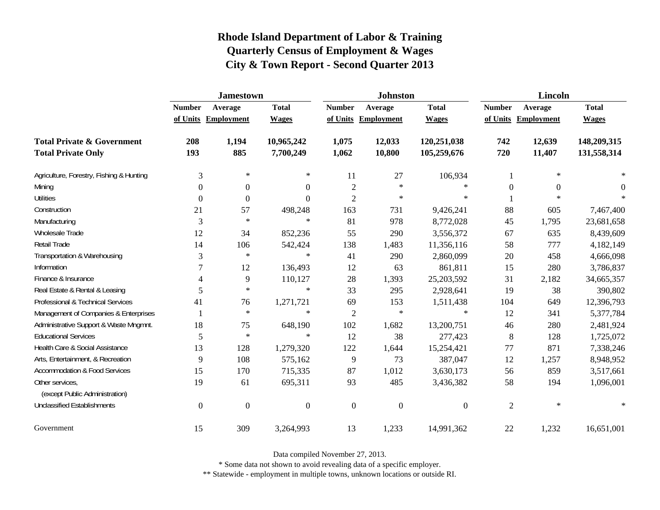|                                                   | <b>Jamestown</b> |                     |                  |                  | <b>Johnston</b>  |                  | <b>Lincoln</b>   |                     |              |
|---------------------------------------------------|------------------|---------------------|------------------|------------------|------------------|------------------|------------------|---------------------|--------------|
|                                                   | <b>Number</b>    | Average             | <b>Total</b>     | <b>Number</b>    | Average          | <b>Total</b>     | <b>Number</b>    | Average             | <b>Total</b> |
|                                                   |                  | of Units Employment | <b>Wages</b>     | of Units         | Employment       | <b>Wages</b>     |                  | of Units Employment | <b>Wages</b> |
| <b>Total Private &amp; Government</b>             | 208              | 1,194               | 10,965,242       | 1,075            | 12,033           | 120,251,038      | 742              | 12,639              | 148,209,315  |
| <b>Total Private Only</b>                         | 193              | 885                 | 7,700,249        | 1,062            | 10,800           | 105,259,676      | 720              | 11,407              | 131,558,314  |
| Agriculture, Forestry, Fishing & Hunting          | 3                | $\ast$              | ∗                | 11               | 27               | 106,934          | 1                | $\ast$              |              |
| Mining                                            | 0                | $\overline{0}$      | 0                | $\overline{2}$   | $\ast$           | $\ast$           | $\boldsymbol{0}$ | $\Omega$            | $\Omega$     |
| <b>Utilities</b>                                  | 0                | $\boldsymbol{0}$    | $\Omega$         | $\overline{2}$   | $\ast$           | $\ast$           |                  | $\star$             | 宋            |
| Construction                                      | 21               | 57                  | 498,248          | 163              | 731              | 9,426,241        | 88               | 605                 | 7,467,400    |
| Manufacturing                                     | 3                | $\ast$              | $\ast$           | 81               | 978              | 8,772,028        | 45               | 1,795               | 23,681,658   |
| Wholesale Trade                                   | 12               | 34                  | 852,236          | 55               | 290              | 3,556,372        | 67               | 635                 | 8,439,609    |
| Retail Trade                                      | 14               | 106                 | 542,424          | 138              | 1,483            | 11,356,116       | 58               | 777                 | 4,182,149    |
| Transportation & Warehousing                      | 3                | $\ast$              | $\ast$           | 41               | 290              | 2,860,099        | 20               | 458                 | 4,666,098    |
| Information                                       | 7                | 12                  | 136,493          | 12               | 63               | 861,811          | 15               | 280                 | 3,786,837    |
| Finance & Insurance                               | 4                | 9                   | 110,127          | 28               | 1,393            | 25,203,592       | 31               | 2,182               | 34,665,357   |
| Real Estate & Rental & Leasing                    | 5                | $\ast$              | $\ast$           | 33               | 295              | 2,928,641        | 19               | 38                  | 390,802      |
| Professional & Technical Services                 | 41               | 76                  | 1,271,721        | 69               | 153              | 1,511,438        | 104              | 649                 | 12,396,793   |
| Management of Companies & Enterprises             |                  | $\ast$              | $\ast$           | $\overline{2}$   | $\ast$           | $\ast$           | 12               | 341                 | 5,377,784    |
| Administrative Support & Waste Mngmnt.            | 18               | 75                  | 648,190          | 102              | 1,682            | 13,200,751       | 46               | 280                 | 2,481,924    |
| <b>Educational Services</b>                       | 5                | $\ast$              | $\ast$           | 12               | 38               | 277,423          | 8                | 128                 | 1,725,072    |
| Health Care & Social Assistance                   | 13               | 128                 | 1,279,320        | 122              | 1,644            | 15,254,421       | 77               | 871                 | 7,338,246    |
| Arts, Entertainment, & Recreation                 | 9                | 108                 | 575,162          | 9                | 73               | 387,047          | 12               | 1,257               | 8,948,952    |
| <b>Accommodation &amp; Food Services</b>          | 15               | 170                 | 715,335          | 87               | 1,012            | 3,630,173        | 56               | 859                 | 3,517,661    |
| Other services,<br>(except Public Administration) | 19               | 61                  | 695,311          | 93               | 485              | 3,436,382        | 58               | 194                 | 1,096,001    |
| <b>Unclassified Establishments</b>                | $\boldsymbol{0}$ | $\boldsymbol{0}$    | $\boldsymbol{0}$ | $\boldsymbol{0}$ | $\boldsymbol{0}$ | $\boldsymbol{0}$ | $\overline{2}$   | $\ast$              | $\ast$       |
| Government                                        | 15               | 309                 | 3,264,993        | 13               | 1,233            | 14,991,362       | 22               | 1,232               | 16,651,001   |

Data compiled November 27, 2013.

\* Some data not shown to avoid revealing data of a specific employer.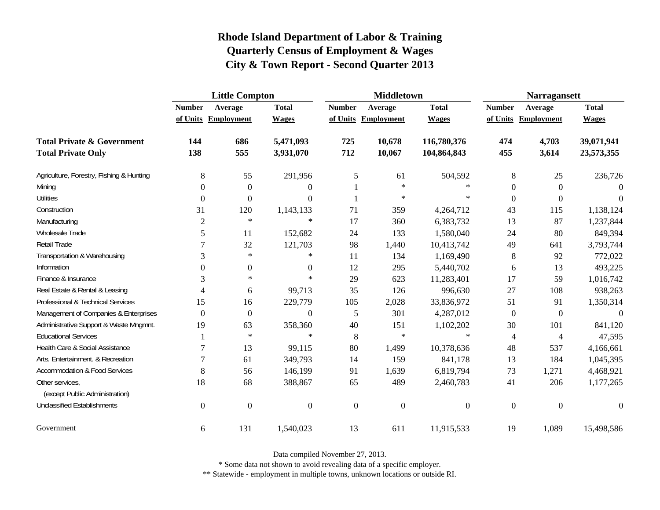|                                                   | <b>Little Compton</b> |                     |                  |                  | <b>Middletown</b>   |                  | <b>Narragansett</b> |                     |              |
|---------------------------------------------------|-----------------------|---------------------|------------------|------------------|---------------------|------------------|---------------------|---------------------|--------------|
|                                                   | <b>Number</b>         | Average             | <b>Total</b>     | <b>Number</b>    | Average             | <b>Total</b>     | <b>Number</b>       | Average             | <b>Total</b> |
|                                                   |                       | of Units Employment | <b>Wages</b>     |                  | of Units Employment | <b>Wages</b>     |                     | of Units Employment | <b>Wages</b> |
| <b>Total Private &amp; Government</b>             | 144                   | 686                 | 5,471,093        | 725              | 10,678              | 116,780,376      | 474                 | 4,703               | 39,071,941   |
| <b>Total Private Only</b>                         | 138                   | 555                 | 3,931,070        | 712              | 10,067              | 104,864,843      | 455                 | 3,614               | 23,573,355   |
| Agriculture, Forestry, Fishing & Hunting          | 8                     | 55                  | 291,956          | 5                | 61                  | 504,592          | 8                   | 25                  | 236,726      |
| Mining                                            | $\Omega$              | $\boldsymbol{0}$    | $\theta$         |                  | $\ast$              | $\ast$           | $\theta$            | $\boldsymbol{0}$    | $\Omega$     |
| <b>Utilities</b>                                  | $\boldsymbol{0}$      | $\boldsymbol{0}$    | $\overline{0}$   |                  | $\ast$              | $\ast$           | $\overline{0}$      | $\boldsymbol{0}$    | $\Omega$     |
| Construction                                      | 31                    | 120                 | 1,143,133        | 71               | 359                 | 4,264,712        | 43                  | 115                 | 1,138,124    |
| Manufacturing                                     | $\overline{2}$        | $\ast$              | $\ast$           | 17               | 360                 | 6,383,732        | 13                  | 87                  | 1,237,844    |
| Wholesale Trade                                   | 5                     | 11                  | 152,682          | 24               | 133                 | 1,580,040        | 24                  | 80                  | 849,394      |
| Retail Trade                                      | $\tau$                | 32                  | 121,703          | 98               | 1,440               | 10,413,742       | 49                  | 641                 | 3,793,744    |
| Transportation & Warehousing                      | 3                     | $\ast$              | $\ast$           | 11               | 134                 | 1,169,490        | 8                   | 92                  | 772,022      |
| Information                                       | $\Omega$              | $\boldsymbol{0}$    | $\overline{0}$   | 12               | 295                 | 5,440,702        | 6                   | 13                  | 493,225      |
| Finance & Insurance                               | 3                     | $\ast$              | $\ast$           | 29               | 623                 | 11,283,401       | 17                  | 59                  | 1,016,742    |
| Real Estate & Rental & Leasing                    | 4                     | 6                   | 99,713           | 35               | 126                 | 996,630          | 27                  | 108                 | 938,263      |
| Professional & Technical Services                 | 15                    | 16                  | 229,779          | 105              | 2,028               | 33,836,972       | 51                  | 91                  | 1,350,314    |
| Management of Companies & Enterprises             | $\overline{0}$        | $\boldsymbol{0}$    | $\boldsymbol{0}$ | 5                | 301                 | 4,287,012        | $\overline{0}$      | $\boldsymbol{0}$    | $\Omega$     |
| Administrative Support & Waste Mngmnt.            | 19                    | 63                  | 358,360          | 40               | 151                 | 1,102,202        | 30                  | 101                 | 841,120      |
| <b>Educational Services</b>                       |                       | $\ast$              | $\ast$           | 8                | $\ast$              | $\ast$           | $\overline{4}$      | $\overline{4}$      | 47,595       |
| Health Care & Social Assistance                   | 7                     | 13                  | 99,115           | 80               | 1,499               | 10,378,636       | 48                  | 537                 | 4,166,661    |
| Arts, Entertainment, & Recreation                 | 7                     | 61                  | 349,793          | 14               | 159                 | 841,178          | 13                  | 184                 | 1,045,395    |
| <b>Accommodation &amp; Food Services</b>          | 8                     | 56                  | 146,199          | 91               | 1,639               | 6,819,794        | 73                  | 1,271               | 4,468,921    |
| Other services,<br>(except Public Administration) | 18                    | 68                  | 388,867          | 65               | 489                 | 2,460,783        | 41                  | 206                 | 1,177,265    |
| <b>Unclassified Establishments</b>                | $\boldsymbol{0}$      | $\boldsymbol{0}$    | $\boldsymbol{0}$ | $\boldsymbol{0}$ | $\boldsymbol{0}$    | $\boldsymbol{0}$ | $\boldsymbol{0}$    | $\boldsymbol{0}$    | $\Omega$     |
| Government                                        | 6                     | 131                 | 1,540,023        | 13               | 611                 | 11,915,533       | 19                  | 1,089               | 15,498,586   |

Data compiled November 27, 2013.

\* Some data not shown to avoid revealing data of a specific employer.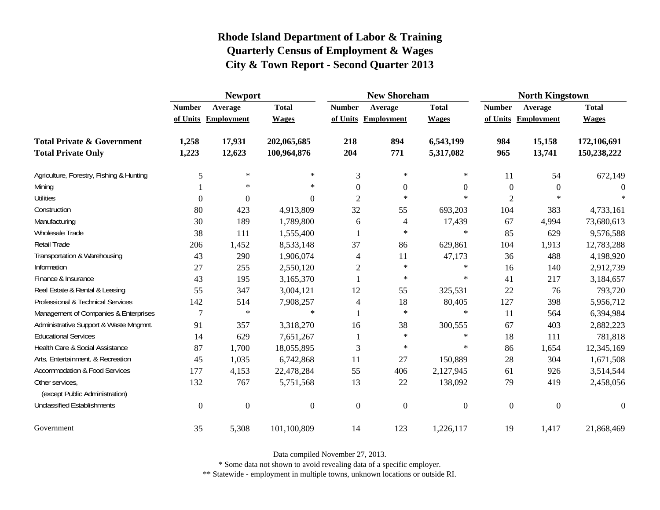|                                                   | <b>Newport</b>   |                     |                  |                  | <b>New Shoreham</b> |                  | <b>North Kingstown</b> |                     |                |  |
|---------------------------------------------------|------------------|---------------------|------------------|------------------|---------------------|------------------|------------------------|---------------------|----------------|--|
|                                                   | <b>Number</b>    | Average             | <b>Total</b>     | <b>Number</b>    | Average             | <b>Total</b>     | <b>Number</b>          | Average             | <b>Total</b>   |  |
|                                                   |                  | of Units Employment | <b>Wages</b>     |                  | of Units Employment | <b>Wages</b>     |                        | of Units Employment | <b>Wages</b>   |  |
| <b>Total Private &amp; Government</b>             | 1,258            | 17,931              | 202,065,685      | 218              | 894                 | 6,543,199        | 984                    | 15,158              | 172,106,691    |  |
| <b>Total Private Only</b>                         | 1,223            | 12,623              | 100,964,876      | 204              | 771                 | 5,317,082        | 965                    | 13,741              | 150,238,222    |  |
| Agriculture, Forestry, Fishing & Hunting          | 5                | $\ast$              | $\ast$           | 3                | $\ast$              | $\ast$           | 11                     | 54                  | 672,149        |  |
| Mining                                            |                  | $\ast$              | $\ast$           | $\mathbf{0}$     | $\Omega$            | $\overline{0}$   | $\boldsymbol{0}$       | $\overline{0}$      | 0              |  |
| <b>Utilities</b>                                  | $\boldsymbol{0}$ | $\boldsymbol{0}$    | $\overline{0}$   | $\overline{c}$   | $\ast$              | $\ast$           | $\overline{c}$         | $\ast$              | 宋              |  |
| Construction                                      | 80               | 423                 | 4,913,809        | 32               | 55                  | 693,203          | 104                    | 383                 | 4,733,161      |  |
| Manufacturing                                     | 30               | 189                 | 1,789,800        | 6                | 4                   | 17,439           | 67                     | 4,994               | 73,680,613     |  |
| Wholesale Trade                                   | 38               | 111                 | 1,555,400        |                  | $\ast$              | $\ast$           | 85                     | 629                 | 9,576,588      |  |
| Retail Trade                                      | 206              | 1,452               | 8,533,148        | 37               | 86                  | 629,861          | 104                    | 1,913               | 12,783,288     |  |
| Transportation & Warehousing                      | 43               | 290                 | 1,906,074        | 4                | 11                  | 47,173           | 36                     | 488                 | 4,198,920      |  |
| Information                                       | 27               | 255                 | 2,550,120        | $\overline{c}$   | $\ast$              | $\ast$           | 16                     | 140                 | 2,912,739      |  |
| Finance & Insurance                               | 43               | 195                 | 3,165,370        |                  | $\ast$              | $\ast$           | 41                     | 217                 | 3,184,657      |  |
| Real Estate & Rental & Leasing                    | 55               | 347                 | 3,004,121        | 12               | 55                  | 325,531          | 22                     | 76                  | 793,720        |  |
| Professional & Technical Services                 | 142              | 514                 | 7,908,257        | $\overline{4}$   | 18                  | 80,405           | 127                    | 398                 | 5,956,712      |  |
| Management of Companies & Enterprises             | 7                | $\ast$              | $\ast$           | $\mathbf{1}$     | $\ast$              | $\ast$           | 11                     | 564                 | 6,394,984      |  |
| Administrative Support & Waste Mngmnt.            | 91               | 357                 | 3,318,270        | 16               | 38                  | 300,555          | 67                     | 403                 | 2,882,223      |  |
| <b>Educational Services</b>                       | 14               | 629                 | 7,651,267        | 1                | $\ast$              | $\ast$           | 18                     | 111                 | 781,818        |  |
| Health Care & Social Assistance                   | 87               | 1,700               | 18,055,895       | 3                | $\ast$              | ∗                | 86                     | 1,654               | 12,345,169     |  |
| Arts, Entertainment, & Recreation                 | 45               | 1,035               | 6,742,868        | 11               | 27                  | 150,889          | 28                     | 304                 | 1,671,508      |  |
| <b>Accommodation &amp; Food Services</b>          | 177              | 4,153               | 22,478,284       | 55               | 406                 | 2,127,945        | 61                     | 926                 | 3,514,544      |  |
| Other services,<br>(except Public Administration) | 132              | 767                 | 5,751,568        | 13               | 22                  | 138,092          | 79                     | 419                 | 2,458,056      |  |
| <b>Unclassified Establishments</b>                | $\boldsymbol{0}$ | $\mathbf{0}$        | $\boldsymbol{0}$ | $\boldsymbol{0}$ | $\boldsymbol{0}$    | $\boldsymbol{0}$ | $\boldsymbol{0}$       | $\mathbf{0}$        | $\overline{0}$ |  |
| Government                                        | 35               | 5,308               | 101,100,809      | 14               | 123                 | 1,226,117        | 19                     | 1,417               | 21,868,469     |  |

Data compiled November 27, 2013.

\* Some data not shown to avoid revealing data of a specific employer.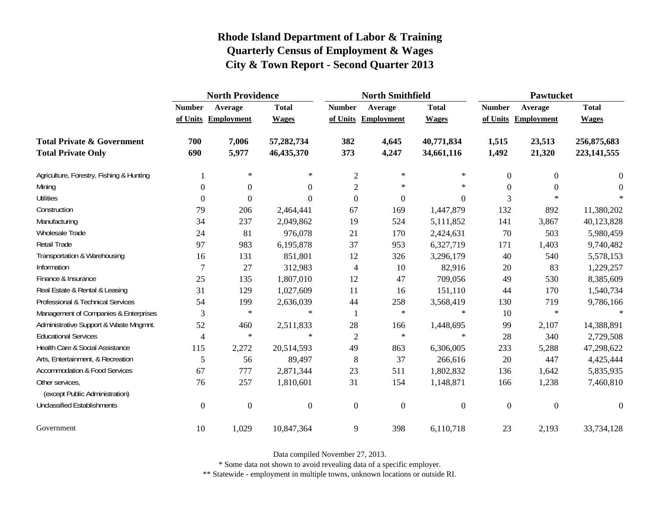|                                                   | <b>North Providence</b> |                     |                |                  | <b>North Smithfield</b> |                  | <b>Pawtucket</b> |                     |                  |
|---------------------------------------------------|-------------------------|---------------------|----------------|------------------|-------------------------|------------------|------------------|---------------------|------------------|
|                                                   | <b>Number</b>           | Average             | <b>Total</b>   | <b>Number</b>    | Average                 | <b>Total</b>     | <b>Number</b>    | Average             | <b>Total</b>     |
|                                                   |                         | of Units Employment | <b>Wages</b>   |                  | of Units Employment     | <b>Wages</b>     |                  | of Units Employment | <b>Wages</b>     |
| <b>Total Private &amp; Government</b>             | 700                     | 7,006               | 57,282,734     | 382              | 4,645                   | 40,771,834       | 1,515            | 23,513              | 256,875,683      |
| <b>Total Private Only</b>                         | 690                     | 5,977               | 46,435,370     | 373              | 4,247                   | 34,661,116       | 1,492            | 21,320              | 223, 141, 555    |
| Agriculture, Forestry, Fishing & Hunting          |                         | $\ast$              | $\ast$         | $\overline{c}$   | ∗                       | $\ast$           | $\overline{0}$   | $\Omega$            | 0                |
| Mining                                            | $\Omega$                | $\theta$            | $\Omega$       | $\overline{c}$   | $\ast$                  | $\ast$           | $\theta$         | 0                   | $\Omega$         |
| <b>Utilities</b>                                  | $\mathbf{0}$            | $\overline{0}$      | $\Omega$       | $\boldsymbol{0}$ | $\boldsymbol{0}$        | $\boldsymbol{0}$ | 3                | $\ast$              |                  |
| Construction                                      | 79                      | 206                 | 2,464,441      | 67               | 169                     | 1,447,879        | 132              | 892                 | 11,380,202       |
| Manufacturing                                     | 34                      | 237                 | 2,049,862      | 19               | 524                     | 5,111,852        | 141              | 3,867               | 40,123,828       |
| <b>Wholesale Trade</b>                            | 24                      | 81                  | 976,078        | 21               | 170                     | 2,424,631        | 70               | 503                 | 5,980,459        |
| Retail Trade                                      | 97                      | 983                 | 6,195,878      | 37               | 953                     | 6,327,719        | 171              | 1,403               | 9,740,482        |
| Transportation & Warehousing                      | 16                      | 131                 | 851,801        | 12               | 326                     | 3,296,179        | 40               | 540                 | 5,578,153        |
| Information                                       | $\overline{7}$          | 27                  | 312,983        | 4                | 10                      | 82,916           | 20               | 83                  | 1,229,257        |
| Finance & Insurance                               | 25                      | 135                 | 1,807,010      | 12               | 47                      | 709,056          | 49               | 530                 | 8,385,609        |
| Real Estate & Rental & Leasing                    | 31                      | 129                 | 1,027,609      | 11               | 16                      | 151,110          | 44               | 170                 | 1,540,734        |
| Professional & Technical Services                 | 54                      | 199                 | 2,636,039      | 44               | 258                     | 3,568,419        | 130              | 719                 | 9,786,166        |
| Management of Companies & Enterprises             | 3                       | $\ast$              | $\ast$         | -1               | $\ast$                  | $\ast$           | 10               | $\ast$              | $\ast$           |
| Administrative Support & Waste Mngmnt.            | 52                      | 460                 | 2,511,833      | 28               | 166                     | 1,448,695        | 99               | 2,107               | 14,388,891       |
| <b>Educational Services</b>                       | $\overline{4}$          | $\ast$              | $\ast$         | $\overline{2}$   | $\ast$                  | $\ast$           | 28               | 340                 | 2,729,508        |
| Health Care & Social Assistance                   | 115                     | 2,272               | 20,514,593     | 49               | 863                     | 6,306,005        | 233              | 5,288               | 47,298,622       |
| Arts, Entertainment, & Recreation                 | 5                       | 56                  | 89,497         | 8                | 37                      | 266,616          | 20               | 447                 | 4,425,444        |
| <b>Accommodation &amp; Food Services</b>          | 67                      | 777                 | 2,871,344      | 23               | 511                     | 1,802,832        | 136              | 1,642               | 5,835,935        |
| Other services,<br>(except Public Administration) | 76                      | 257                 | 1,810,601      | 31               | 154                     | 1,148,871        | 166              | 1,238               | 7,460,810        |
| <b>Unclassified Establishments</b>                | $\boldsymbol{0}$        | $\boldsymbol{0}$    | $\overline{0}$ | $\boldsymbol{0}$ | $\mathbf{0}$            | $\boldsymbol{0}$ | $\mathbf{0}$     | $\overline{0}$      | $\boldsymbol{0}$ |
| Government                                        | 10                      | 1,029               | 10,847,364     | 9                | 398                     | 6,110,718        | 23               | 2,193               | 33,734,128       |

Data compiled November 27, 2013.

\* Some data not shown to avoid revealing data of a specific employer.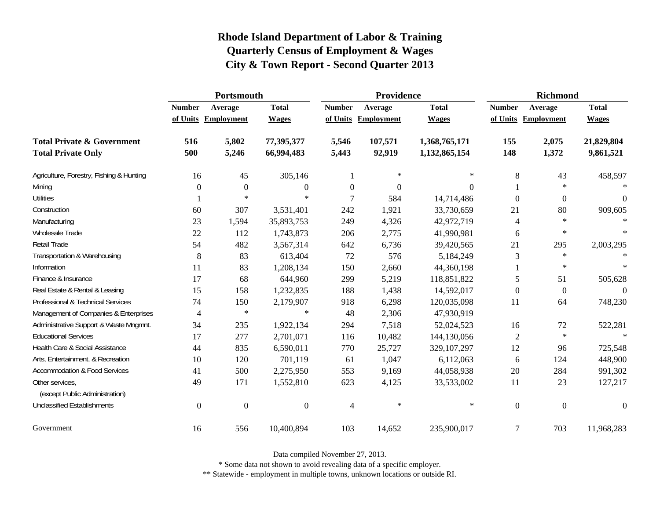|                                                   | Portsmouth    |                     |                  |                | Providence          |               | <b>Richmond</b> |                     |                  |
|---------------------------------------------------|---------------|---------------------|------------------|----------------|---------------------|---------------|-----------------|---------------------|------------------|
|                                                   | <b>Number</b> | Average             | <b>Total</b>     | <b>Number</b>  | Average             | <b>Total</b>  | <b>Number</b>   | Average             | <b>Total</b>     |
|                                                   |               | of Units Employment | <b>Wages</b>     |                | of Units Employment | <b>Wages</b>  |                 | of Units Employment | <b>Wages</b>     |
| <b>Total Private &amp; Government</b>             | 516           | 5,802               | 77,395,377       | 5,546          | 107,571             | 1,368,765,171 | 155             | 2,075               | 21,829,804       |
| <b>Total Private Only</b>                         | 500           | 5,246               | 66,994,483       | 5,443          | 92,919              | 1,132,865,154 | 148             | 1,372               | 9,861,521        |
| Agriculture, Forestry, Fishing & Hunting          | 16            | 45                  | 305,146          |                | $\ast$              | $\ast$        | 8               | 43                  | 458,597          |
| Mining                                            | $\Omega$      | $\theta$            | $\boldsymbol{0}$ | $\mathbf{0}$   | $\Omega$            | 0             |                 | $\ast$              | $\ast$           |
| <b>Utilities</b>                                  |               | $\ast$              | $\ast$           | 7              | 584                 | 14,714,486    | $\theta$        | $\theta$            | $\theta$         |
| Construction                                      | 60            | 307                 | 3,531,401        | 242            | 1,921               | 33,730,659    | 21              | 80                  | 909,605          |
| Manufacturing                                     | 23            | 1,594               | 35,893,753       | 249            | 4,326               | 42,972,719    | 4               | $\ast$              | $\ast$           |
| <b>Wholesale Trade</b>                            | 22            | 112                 | 1,743,873        | 206            | 2,775               | 41,990,981    | 6               | $\ast$              | $\ast$           |
| Retail Trade                                      | 54            | 482                 | 3,567,314        | 642            | 6,736               | 39,420,565    | 21              | 295                 | 2,003,295        |
| Transportation & Warehousing                      | $\,8\,$       | 83                  | 613,404          | 72             | 576                 | 5,184,249     | $\mathfrak{Z}$  | $\ast$              | $\star$          |
| Information                                       | 11            | 83                  | 1,208,134        | 150            | 2,660               | 44,360,198    |                 | $\ast$              | $\ast$           |
| Finance & Insurance                               | 17            | 68                  | 644,960          | 299            | 5,219               | 118,851,822   | 5               | 51                  | 505,628          |
| Real Estate & Rental & Leasing                    | 15            | 158                 | 1,232,835        | 188            | 1,438               | 14,592,017    | $\Omega$        | $\overline{0}$      | $\theta$         |
| Professional & Technical Services                 | 74            | 150                 | 2,179,907        | 918            | 6,298               | 120,035,098   | 11              | 64                  | 748,230          |
| Management of Companies & Enterprises             | 4             | $\ast$              | $\ast$           | 48             | 2,306               | 47,930,919    |                 |                     |                  |
| Administrative Support & Waste Mngmnt.            | 34            | 235                 | 1,922,134        | 294            | 7,518               | 52,024,523    | 16              | 72                  | 522,281          |
| <b>Educational Services</b>                       | 17            | 277                 | 2,701,071        | 116            | 10,482              | 144,130,056   | $\overline{2}$  | $\star$             | $\mathbf{x}$     |
| Health Care & Social Assistance                   | 44            | 835                 | 6,590,011        | 770            | 25,727              | 329,107,297   | 12              | 96                  | 725,548          |
| Arts, Entertainment, & Recreation                 | 10            | 120                 | 701,119          | 61             | 1,047               | 6,112,063     | 6               | 124                 | 448,900          |
| <b>Accommodation &amp; Food Services</b>          | 41            | 500                 | 2,275,950        | 553            | 9,169               | 44,058,938    | 20              | 284                 | 991,302          |
| Other services,<br>(except Public Administration) | 49            | 171                 | 1,552,810        | 623            | 4,125               | 33,533,002    | 11              | 23                  | 127,217          |
| <b>Unclassified Establishments</b>                | $\Omega$      | $\mathbf{0}$        | $\boldsymbol{0}$ | $\overline{4}$ | $\ast$              | $\ast$        | $\Omega$        | $\boldsymbol{0}$    | $\boldsymbol{0}$ |
| Government                                        | 16            | 556                 | 10,400,894       | 103            | 14,652              | 235,900,017   | 7               | 703                 | 11,968,283       |

Data compiled November 27, 2013.

\* Some data not shown to avoid revealing data of a specific employer.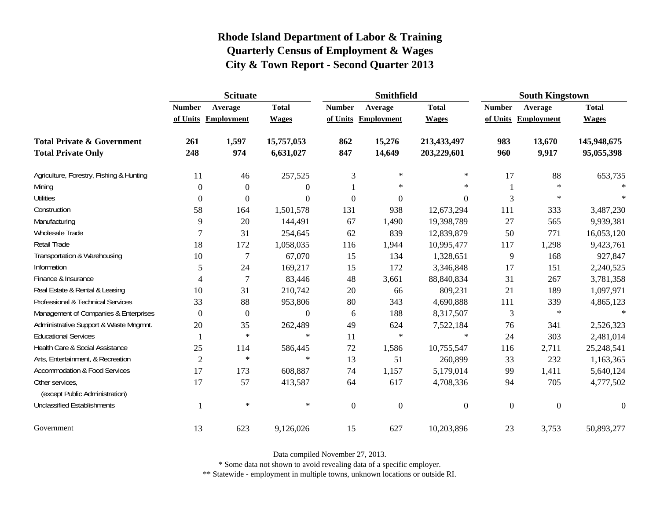|                                                   | <b>Scituate</b> |                     |                |                  | <b>Smithfield</b> |                  | <b>South Kingstown</b> |                     |                  |
|---------------------------------------------------|-----------------|---------------------|----------------|------------------|-------------------|------------------|------------------------|---------------------|------------------|
|                                                   | <b>Number</b>   | Average             | <b>Total</b>   | <b>Number</b>    | Average           | <b>Total</b>     | <b>Number</b>          | Average             | <b>Total</b>     |
|                                                   |                 | of Units Employment | <b>Wages</b>   | of Units         | Employment        | <b>Wages</b>     |                        | of Units Employment | <b>Wages</b>     |
| <b>Total Private &amp; Government</b>             | 261             | 1,597               | 15,757,053     | 862              | 15,276            | 213,433,497      | 983                    | 13,670              | 145,948,675      |
| <b>Total Private Only</b>                         | 248             | 974                 | 6,631,027      | 847              | 14,649            | 203,229,601      | 960                    | 9,917               | 95,055,398       |
| Agriculture, Forestry, Fishing & Hunting          | 11              | 46                  | 257,525        | $\mathfrak{Z}$   | $\ast$            | $\ast$           | 17                     | 88                  | 653,735          |
| Mining                                            | $\theta$        | $\Omega$            | $\overline{0}$ |                  | $\ast$            | $\ast$           |                        | $\ast$              | $\star$          |
| <b>Utilities</b>                                  | $\theta$        | $\Omega$            | $\overline{0}$ | $\boldsymbol{0}$ | $\boldsymbol{0}$  | $\mathbf{0}$     | 3                      | $\ast$              | $\ast$           |
| Construction                                      | 58              | 164                 | 1,501,578      | 131              | 938               | 12,673,294       | 111                    | 333                 | 3,487,230        |
| Manufacturing                                     | 9               | 20                  | 144,491        | 67               | 1,490             | 19,398,789       | 27                     | 565                 | 9,939,381        |
| Wholesale Trade                                   | 7               | 31                  | 254,645        | 62               | 839               | 12,839,879       | 50                     | 771                 | 16,053,120       |
| Retail Trade                                      | 18              | 172                 | 1,058,035      | 116              | 1,944             | 10,995,477       | 117                    | 1,298               | 9,423,761        |
| Transportation & Warehousing                      | 10              | 7                   | 67,070         | 15               | 134               | 1,328,651        | 9                      | 168                 | 927,847          |
| Information                                       | 5               | 24                  | 169,217        | 15               | 172               | 3,346,848        | 17                     | 151                 | 2,240,525        |
| Finance & Insurance                               | 4               | $\overline{7}$      | 83,446         | 48               | 3,661             | 88,840,834       | 31                     | 267                 | 3,781,358        |
| Real Estate & Rental & Leasing                    | 10              | 31                  | 210,742        | 20               | 66                | 809,231          | 21                     | 189                 | 1,097,971        |
| Professional & Technical Services                 | 33              | 88                  | 953,806        | $80\,$           | 343               | 4,690,888        | 111                    | 339                 | 4,865,123        |
| Management of Companies & Enterprises             | $\theta$        | $\theta$            | $\theta$       | 6                | 188               | 8,317,507        | 3                      | $\ast$              | $\ast$           |
| Administrative Support & Waste Mngmnt.            | 20              | 35                  | 262,489        | 49               | 624               | 7,522,184        | 76                     | 341                 | 2,526,323        |
| <b>Educational Services</b>                       |                 | $\ast$              | $\ast$         | 11               | $\ast$            | $\star$          | 24                     | 303                 | 2,481,014        |
| Health Care & Social Assistance                   | 25              | 114                 | 586,445        | $72\,$           | 1,586             | 10,755,547       | 116                    | 2,711               | 25,248,541       |
| Arts, Entertainment, & Recreation                 | $\overline{2}$  | $\ast$              | $\ast$         | 13               | 51                | 260,899          | 33                     | 232                 | 1,163,365        |
| <b>Accommodation &amp; Food Services</b>          | 17              | 173                 | 608,887        | 74               | 1,157             | 5,179,014        | 99                     | 1,411               | 5,640,124        |
| Other services,<br>(except Public Administration) | 17              | 57                  | 413,587        | 64               | 617               | 4,708,336        | 94                     | 705                 | 4,777,502        |
| <b>Unclassified Establishments</b>                |                 | $\ast$              | $\ast$         | $\overline{0}$   | $\boldsymbol{0}$  | $\boldsymbol{0}$ | $\boldsymbol{0}$       | $\boldsymbol{0}$    | $\boldsymbol{0}$ |
| Government                                        | 13              | 623                 | 9,126,026      | 15               | 627               | 10,203,896       | 23                     | 3,753               | 50,893,277       |

Data compiled November 27, 2013.

\* Some data not shown to avoid revealing data of a specific employer.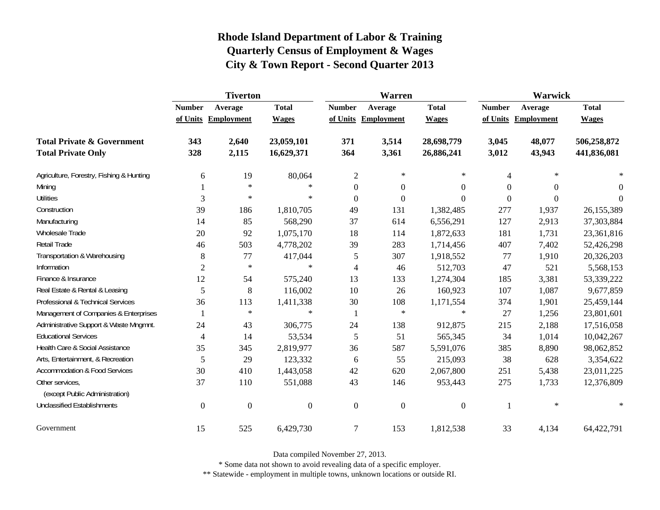|                                                   | <b>Tiverton</b>     |                  |              |                  | <b>Warren</b>       |                  | Warwick       |            |              |  |
|---------------------------------------------------|---------------------|------------------|--------------|------------------|---------------------|------------------|---------------|------------|--------------|--|
|                                                   | <b>Number</b>       | Average          | <b>Total</b> | <b>Number</b>    | Average             | <b>Total</b>     | <b>Number</b> | Average    | <b>Total</b> |  |
|                                                   | of Units Employment |                  | <b>Wages</b> |                  | of Units Employment | <b>Wages</b>     | of Units      | Employment | <b>Wages</b> |  |
| <b>Total Private &amp; Government</b>             | 343                 | 2,640            | 23,059,101   | 371              | 3,514               | 28,698,779       | 3,045         | 48,077     | 506,258,872  |  |
| <b>Total Private Only</b>                         | 328                 | 2,115            | 16,629,371   | 364              | 3,361               | 26,886,241       | 3,012         | 43,943     | 441,836,081  |  |
| Agriculture, Forestry, Fishing & Hunting          | 6                   | 19               | 80,064       | $\sqrt{2}$       | $\ast$              | $\ast$           | 4             | $\ast$     |              |  |
| Mining                                            |                     | $\ast$           | $\ast$       | $\boldsymbol{0}$ | $\boldsymbol{0}$    | $\mathbf{0}$     | 0             | $\Omega$   | $\Omega$     |  |
| <b>Utilities</b>                                  | 3                   | $\ast$           | $\ast$       | $\theta$         | $\boldsymbol{0}$    | $\Omega$         | $\Omega$      | $\theta$   | $\Omega$     |  |
| Construction                                      | 39                  | 186              | 1,810,705    | 49               | 131                 | 1,382,485        | 277           | 1,937      | 26,155,389   |  |
| Manufacturing                                     | 14                  | 85               | 568,290      | 37               | 614                 | 6,556,291        | 127           | 2,913      | 37,303,884   |  |
| <b>Wholesale Trade</b>                            | 20                  | 92               | 1,075,170    | 18               | 114                 | 1,872,633        | 181           | 1,731      | 23,361,816   |  |
| Retail Trade                                      | 46                  | 503              | 4,778,202    | 39               | 283                 | 1,714,456        | 407           | 7,402      | 52,426,298   |  |
| Transportation & Warehousing                      | $8\,$               | 77               | 417,044      | 5                | 307                 | 1,918,552        | 77            | 1,910      | 20,326,203   |  |
| Information                                       | $\overline{2}$      | $\ast$           | $\ast$       | $\overline{4}$   | 46                  | 512,703          | 47            | 521        | 5,568,153    |  |
| Finance & Insurance                               | 12                  | 54               | 575,240      | 13               | 133                 | 1,274,304        | 185           | 3,381      | 53,339,222   |  |
| Real Estate & Rental & Leasing                    | 5                   | 8                | 116,002      | 10               | 26                  | 160,923          | 107           | 1,087      | 9,677,859    |  |
| Professional & Technical Services                 | 36                  | 113              | 1,411,338    | 30               | 108                 | 1,171,554        | 374           | 1,901      | 25,459,144   |  |
| Management of Companies & Enterprises             |                     | $\ast$           | $\ast$       | $\mathbf{1}$     | $\ast$              | $\ast$           | 27            | 1,256      | 23,801,601   |  |
| Administrative Support & Waste Mngmnt.            | 24                  | 43               | 306,775      | 24               | 138                 | 912,875          | 215           | 2,188      | 17,516,058   |  |
| <b>Educational Services</b>                       | $\overline{4}$      | 14               | 53,534       | 5                | 51                  | 565,345          | 34            | 1,014      | 10,042,267   |  |
| Health Care & Social Assistance                   | 35                  | 345              | 2,819,977    | 36               | 587                 | 5,591,076        | 385           | 8,890      | 98,062,852   |  |
| Arts, Entertainment, & Recreation                 | 5                   | 29               | 123,332      | 6                | 55                  | 215,093          | 38            | 628        | 3,354,622    |  |
| <b>Accommodation &amp; Food Services</b>          | 30                  | 410              | 1,443,058    | 42               | 620                 | 2,067,800        | 251           | 5,438      | 23,011,225   |  |
| Other services,<br>(except Public Administration) | 37                  | 110              | 551,088      | 43               | 146                 | 953,443          | 275           | 1,733      | 12,376,809   |  |
| <b>Unclassified Establishments</b>                | $\boldsymbol{0}$    | $\boldsymbol{0}$ | $\mathbf{0}$ | $\boldsymbol{0}$ | $\boldsymbol{0}$    | $\boldsymbol{0}$ |               | $\ast$     | $\ast$       |  |
| Government                                        | 15                  | 525              | 6,429,730    | $\tau$           | 153                 | 1,812,538        | 33            | 4,134      | 64,422,791   |  |

Data compiled November 27, 2013.

\* Some data not shown to avoid revealing data of a specific employer.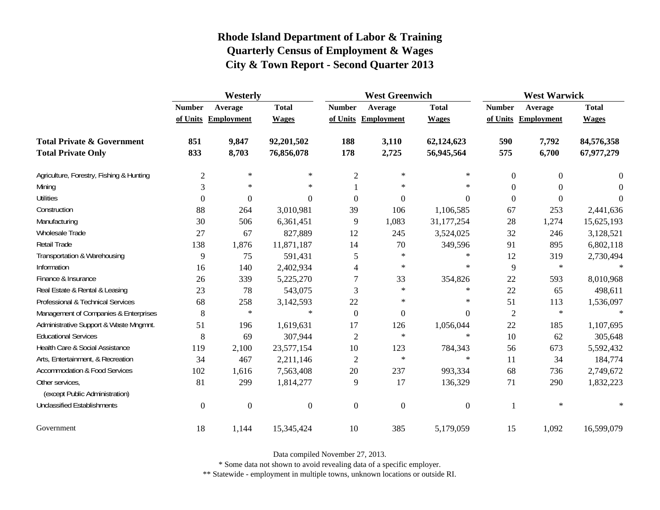|                                                   | Westerly         |                     |                |                  | <b>West Greenwich</b> |                  | <b>West Warwick</b> |                     |              |
|---------------------------------------------------|------------------|---------------------|----------------|------------------|-----------------------|------------------|---------------------|---------------------|--------------|
|                                                   | <b>Number</b>    | Average             | <b>Total</b>   | <b>Number</b>    | Average               | <b>Total</b>     | <b>Number</b>       | Average             | <b>Total</b> |
|                                                   |                  | of Units Employment | <b>Wages</b>   |                  | of Units Employment   | <b>Wages</b>     |                     | of Units Employment | <b>Wages</b> |
| <b>Total Private &amp; Government</b>             | 851              | 9,847               | 92,201,502     | 188              | 3,110                 | 62,124,623       | 590                 | 7,792               | 84,576,358   |
| <b>Total Private Only</b>                         | 833              | 8,703               | 76,856,078     | 178              | 2,725                 | 56,945,564       | 575                 | 6,700               | 67,977,279   |
| Agriculture, Forestry, Fishing & Hunting          | $\overline{2}$   | $\ast$              | $\ast$         | $\mathfrak{2}$   | $\ast$                | $\ast$           | $\overline{0}$      | $\mathbf{0}$        | 0            |
| Mining                                            | 3                | $\ast$              | $\ast$         |                  | $\ast$                | $\ast$           | $\mathbf{0}$        | $\mathbf{0}$        | $\Omega$     |
| <b>Utilities</b>                                  | $\mathbf{0}$     | $\boldsymbol{0}$    | $\overline{0}$ | $\boldsymbol{0}$ | $\mathbf{0}$          | $\theta$         | $\mathbf{0}$        | $\Omega$            | 0            |
| Construction                                      | 88               | 264                 | 3,010,981      | 39               | 106                   | 1,106,585        | 67                  | 253                 | 2,441,636    |
| Manufacturing                                     | 30               | 506                 | 6,361,451      | 9                | 1,083                 | 31,177,254       | 28                  | 1,274               | 15,625,193   |
| Wholesale Trade                                   | 27               | 67                  | 827,889        | 12               | 245                   | 3,524,025        | 32                  | 246                 | 3,128,521    |
| Retail Trade                                      | 138              | 1,876               | 11,871,187     | 14               | 70                    | 349,596          | 91                  | 895                 | 6,802,118    |
| Transportation & Warehousing                      | 9                | 75                  | 591,431        | 5                | $\ast$                | $\ast$           | 12                  | 319                 | 2,730,494    |
| Information                                       | 16               | 140                 | 2,402,934      | 4                | ∗                     | $\ast$           | 9                   | $\ast$              |              |
| Finance & Insurance                               | 26               | 339                 | 5,225,270      | 7                | 33                    | 354,826          | 22                  | 593                 | 8,010,968    |
| Real Estate & Rental & Leasing                    | 23               | 78                  | 543,075        | 3                | $\ast$                | $\ast$           | 22                  | 65                  | 498,611      |
| Professional & Technical Services                 | 68               | 258                 | 3,142,593      | 22               | $\ast$                | $\ast$           | 51                  | 113                 | 1,536,097    |
| Management of Companies & Enterprises             | 8                | $\ast$              | $\ast$         | $\overline{0}$   | $\mathbf{0}$          | $\overline{0}$   | $\overline{2}$      | $\ast$              | $\star$      |
| Administrative Support & Waste Mngmnt.            | 51               | 196                 | 1,619,631      | 17               | 126                   | 1,056,044        | 22                  | 185                 | 1,107,695    |
| <b>Educational Services</b>                       | 8                | 69                  | 307,944        | 2                | $\ast$                | $\ast$           | 10                  | 62                  | 305,648      |
| Health Care & Social Assistance                   | 119              | 2,100               | 23,577,154     | 10               | 123                   | 784,343          | 56                  | 673                 | 5,592,432    |
| Arts, Entertainment, & Recreation                 | 34               | 467                 | 2,211,146      | $\mathfrak{2}$   | $\ast$                | $\ast$           | 11                  | 34                  | 184,774      |
| <b>Accommodation &amp; Food Services</b>          | 102              | 1,616               | 7,563,408      | 20               | 237                   | 993,334          | 68                  | 736                 | 2,749,672    |
| Other services,<br>(except Public Administration) | 81               | 299                 | 1,814,277      | 9                | 17                    | 136,329          | 71                  | 290                 | 1,832,223    |
| <b>Unclassified Establishments</b>                | $\boldsymbol{0}$ | $\boldsymbol{0}$    | $\overline{0}$ | $\mathbf{0}$     | $\mathbf{0}$          | $\boldsymbol{0}$ | 1                   | $\ast$              |              |
| Government                                        | 18               | 1,144               | 15,345,424     | 10               | 385                   | 5,179,059        | 15                  | 1,092               | 16,599,079   |

Data compiled November 27, 2013.

\* Some data not shown to avoid revealing data of a specific employer.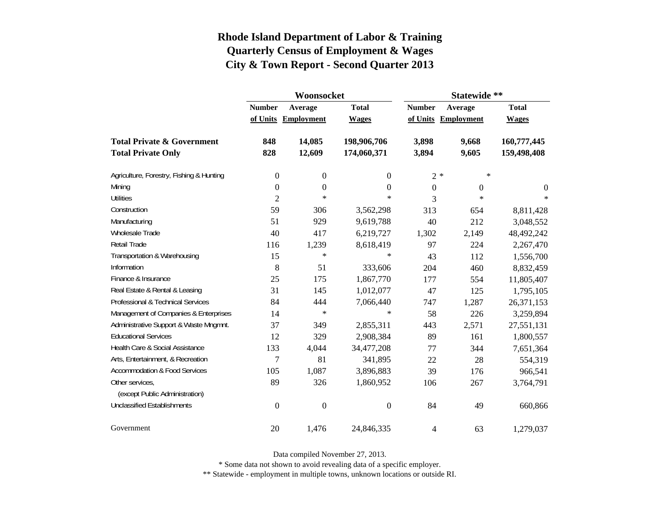|                                          |                  | Woonsocket        |                  | Statewide **   |                     |              |  |
|------------------------------------------|------------------|-------------------|------------------|----------------|---------------------|--------------|--|
|                                          | <b>Number</b>    | Average           | <b>Total</b>     | <b>Number</b>  | Average             | <b>Total</b> |  |
|                                          | of Units         | <b>Employment</b> | <b>Wages</b>     |                | of Units Employment | <b>Wages</b> |  |
| <b>Total Private &amp; Government</b>    | 848              | 14,085            | 198,906,706      | 3,898          | 9,668               | 160,777,445  |  |
| <b>Total Private Only</b>                | 828              | 12,609            | 174,060,371      | 3,894          | 9,605               | 159,498,408  |  |
| Agriculture, Forestry, Fishing & Hunting | $\boldsymbol{0}$ | $\boldsymbol{0}$  | 0                |                | $2*$<br>∗           |              |  |
| Mining                                   | $\boldsymbol{0}$ | $\boldsymbol{0}$  | $\theta$         | $\overline{0}$ | $\mathbf{0}$        | $\theta$     |  |
| <b>Utilities</b>                         | $\overline{2}$   | $\ast$            | $\ast$           | 3              | $\ast$              | $\ast$       |  |
| Construction                             | 59               | 306               | 3,562,298        | 313            | 654                 | 8,811,428    |  |
| Manufacturing                            | 51               | 929               | 9,619,788        | 40             | 212                 | 3,048,552    |  |
| Wholesale Trade                          | 40               | 417               | 6,219,727        | 1,302          | 2,149               | 48,492,242   |  |
| Retail Trade                             | 116              | 1,239             | 8,618,419        | 97             | 224                 | 2,267,470    |  |
| Transportation & Warehousing             | 15               | $\ast$            | $\ast$           | 43             | 112                 | 1,556,700    |  |
| Information                              | 8                | 51                | 333,606          | 204            | 460                 | 8,832,459    |  |
| Finance & Insurance                      | 25               | 175               | 1,867,770        | 177            | 554                 | 11,805,407   |  |
| Real Estate & Rental & Leasing           | 31               | 145               | 1,012,077        | 47             | 125                 | 1,795,105    |  |
| Professional & Technical Services        | 84               | 444               | 7,066,440        | 747            | 1,287               | 26,371,153   |  |
| Management of Companies & Enterprises    | 14               | $\ast$            | $\ast$           | 58             | 226                 | 3,259,894    |  |
| Administrative Support & Waste Mngmnt.   | 37               | 349               | 2,855,311        | 443            | 2,571               | 27,551,131   |  |
| <b>Educational Services</b>              | 12               | 329               | 2,908,384        | 89             | 161                 | 1,800,557    |  |
| Health Care & Social Assistance          | 133              | 4,044             | 34,477,208       | 77             | 344                 | 7,651,364    |  |
| Arts, Entertainment, & Recreation        | 7                | 81                | 341,895          | 22             | 28                  | 554,319      |  |
| <b>Accommodation &amp; Food Services</b> | 105              | 1,087             | 3,896,883        | 39             | 176                 | 966,541      |  |
| Other services,                          | 89               | 326               | 1,860,952        | 106            | 267                 | 3,764,791    |  |
| (except Public Administration)           |                  |                   |                  |                |                     |              |  |
| <b>Unclassified Establishments</b>       | $\boldsymbol{0}$ | $\boldsymbol{0}$  | $\boldsymbol{0}$ | 84             | 49                  | 660,866      |  |
| Government                               | 20               | 1,476             | 24,846,335       | 4              | 63                  | 1,279,037    |  |

Data compiled November 27, 2013.

\* Some data not shown to avoid revealing data of a specific employer.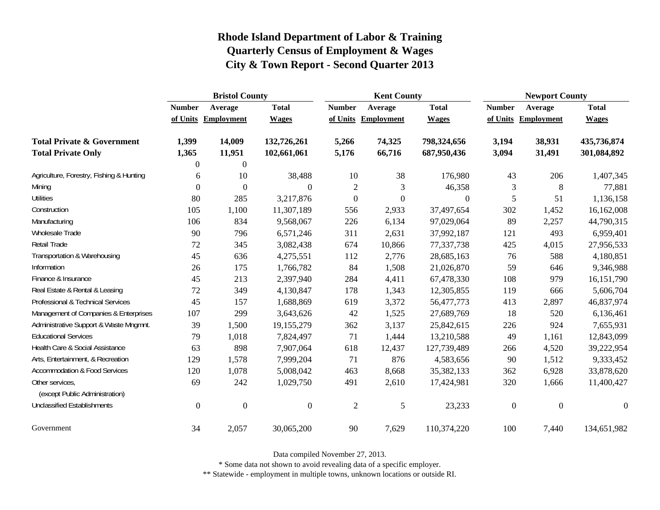|                                          | <b>Bristol County</b> |                     |                  |                  | <b>Kent County</b>  |                |                  | <b>Newport County</b> |                  |  |
|------------------------------------------|-----------------------|---------------------|------------------|------------------|---------------------|----------------|------------------|-----------------------|------------------|--|
|                                          | <b>Number</b>         | Average             | <b>Total</b>     | <b>Number</b>    | Average             | <b>Total</b>   | <b>Number</b>    | Average               | <b>Total</b>     |  |
|                                          |                       | of Units Employment | <b>Wages</b>     |                  | of Units Employment | <b>Wages</b>   | of Units         | <b>Employment</b>     | <b>Wages</b>     |  |
| <b>Total Private &amp; Government</b>    | 1,399                 | 14,009              | 132,726,261      | 5,266            | 74,325              | 798,324,656    | 3,194            | 38,931                | 435,736,874      |  |
| <b>Total Private Only</b>                | 1,365                 | 11,951              | 102,661,061      | 5,176            | 66,716              | 687,950,436    | 3,094            | 31,491                | 301,084,892      |  |
|                                          | $\theta$              | $\boldsymbol{0}$    |                  |                  |                     |                |                  |                       |                  |  |
| Agriculture, Forestry, Fishing & Hunting | 6                     | 10                  | 38,488           | 10               | 38                  | 176,980        | 43               | 206                   | 1,407,345        |  |
| Mining                                   | $\boldsymbol{0}$      | $\boldsymbol{0}$    | $\Omega$         | $\mathbf{2}$     | 3                   | 46,358         | 3                | 8                     | 77,881           |  |
| <b>Utilities</b>                         | 80                    | 285                 | 3,217,876        | $\boldsymbol{0}$ | $\boldsymbol{0}$    | $\overline{0}$ | 5                | 51                    | 1,136,158        |  |
| Construction                             | 105                   | 1,100               | 11,307,189       | 556              | 2,933               | 37,497,654     | 302              | 1,452                 | 16,162,008       |  |
| Manufacturing                            | 106                   | 834                 | 9,568,067        | 226              | 6,134               | 97,029,064     | 89               | 2,257                 | 44,790,315       |  |
| Wholesale Trade                          | 90                    | 796                 | 6,571,246        | 311              | 2,631               | 37,992,187     | 121              | 493                   | 6,959,401        |  |
| Retail Trade                             | 72                    | 345                 | 3,082,438        | 674              | 10,866              | 77,337,738     | 425              | 4,015                 | 27,956,533       |  |
| Transportation & Warehousing             | 45                    | 636                 | 4,275,551        | 112              | 2,776               | 28,685,163     | 76               | 588                   | 4,180,851        |  |
| Information                              | 26                    | 175                 | 1,766,782        | 84               | 1,508               | 21,026,870     | 59               | 646                   | 9,346,988        |  |
| Finance & Insurance                      | 45                    | 213                 | 2,397,940        | 284              | 4,411               | 67,478,330     | 108              | 979                   | 16,151,790       |  |
| Real Estate & Rental & Leasing           | 72                    | 349                 | 4,130,847        | 178              | 1,343               | 12,305,855     | 119              | 666                   | 5,606,704        |  |
| Professional & Technical Services        | 45                    | 157                 | 1,688,869        | 619              | 3,372               | 56,477,773     | 413              | 2,897                 | 46,837,974       |  |
| Management of Companies & Enterprises    | 107                   | 299                 | 3,643,626        | 42               | 1,525               | 27,689,769     | 18               | 520                   | 6,136,461        |  |
| Administrative Support & Waste Mngmnt.   | 39                    | 1,500               | 19,155,279       | 362              | 3,137               | 25,842,615     | 226              | 924                   | 7,655,931        |  |
| <b>Educational Services</b>              | 79                    | 1,018               | 7,824,497        | 71               | 1,444               | 13,210,588     | 49               | 1,161                 | 12,843,099       |  |
| Health Care & Social Assistance          | 63                    | 898                 | 7,907,064        | 618              | 12,437              | 127,739,489    | 266              | 4,520                 | 39,222,954       |  |
| Arts, Entertainment, & Recreation        | 129                   | 1,578               | 7,999,204        | 71               | 876                 | 4,583,656      | 90               | 1,512                 | 9,333,452        |  |
| Accommodation & Food Services            | 120                   | 1,078               | 5,008,042        | 463              | 8,668               | 35,382,133     | 362              | 6,928                 | 33,878,620       |  |
| Other services,                          | 69                    | 242                 | 1,029,750        | 491              | 2,610               | 17,424,981     | 320              | 1,666                 | 11,400,427       |  |
| (except Public Administration)           |                       |                     |                  |                  |                     |                |                  |                       |                  |  |
| <b>Unclassified Establishments</b>       | $\mathbf{0}$          | $\boldsymbol{0}$    | $\boldsymbol{0}$ | $\overline{c}$   | $\mathfrak s$       | 23,233         | $\boldsymbol{0}$ | $\boldsymbol{0}$      | $\boldsymbol{0}$ |  |
| Government                               | 34                    | 2,057               | 30,065,200       | 90               | 7,629               | 110,374,220    | 100              | 7,440                 | 134,651,982      |  |

Data compiled November 27, 2013.

\* Some data not shown to avoid revealing data of a specific employer.